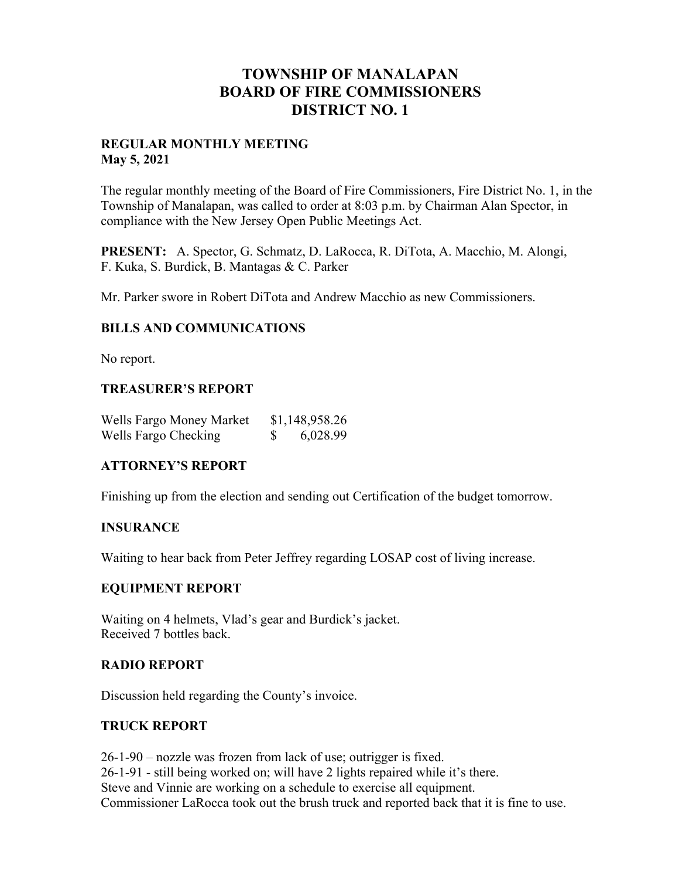# **TOWNSHIP OF MANALAPAN BOARD OF FIRE COMMISSIONERS DISTRICT NO. 1**

### **REGULAR MONTHLY MEETING May 5, 2021**

The regular monthly meeting of the Board of Fire Commissioners, Fire District No. 1, in the Township of Manalapan, was called to order at 8:03 p.m. by Chairman Alan Spector, in compliance with the New Jersey Open Public Meetings Act.

**PRESENT:** A. Spector, G. Schmatz, D. LaRocca, R. DiTota, A. Macchio, M. Alongi, F. Kuka, S. Burdick, B. Mantagas & C. Parker

Mr. Parker swore in Robert DiTota and Andrew Macchio as new Commissioners.

### **BILLS AND COMMUNICATIONS**

No report.

### **TREASURER'S REPORT**

| Wells Fargo Money Market | \$1,148,958.26 |
|--------------------------|----------------|
| Wells Fargo Checking     | 6,028.99       |

### **ATTORNEY'S REPORT**

Finishing up from the election and sending out Certification of the budget tomorrow.

### **INSURANCE**

Waiting to hear back from Peter Jeffrey regarding LOSAP cost of living increase.

### **EQUIPMENT REPORT**

Waiting on 4 helmets, Vlad's gear and Burdick's jacket. Received 7 bottles back.

#### **RADIO REPORT**

Discussion held regarding the County's invoice.

### **TRUCK REPORT**

26-1-90 – nozzle was frozen from lack of use; outrigger is fixed. 26-1-91 - still being worked on; will have 2 lights repaired while it's there. Steve and Vinnie are working on a schedule to exercise all equipment. Commissioner LaRocca took out the brush truck and reported back that it is fine to use.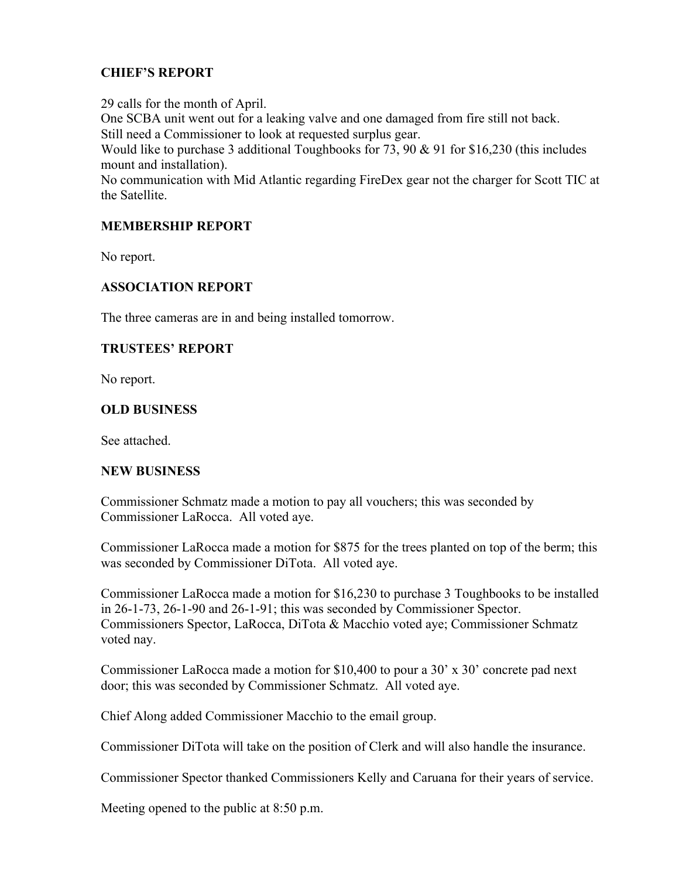# **CHIEF'S REPORT**

29 calls for the month of April. One SCBA unit went out for a leaking valve and one damaged from fire still not back. Still need a Commissioner to look at requested surplus gear. Would like to purchase 3 additional Toughbooks for 73, 90 & 91 for \$16,230 (this includes mount and installation). No communication with Mid Atlantic regarding FireDex gear not the charger for Scott TIC at

the Satellite.

## **MEMBERSHIP REPORT**

No report.

## **ASSOCIATION REPORT**

The three cameras are in and being installed tomorrow.

## **TRUSTEES' REPORT**

No report.

## **OLD BUSINESS**

See attached.

### **NEW BUSINESS**

Commissioner Schmatz made a motion to pay all vouchers; this was seconded by Commissioner LaRocca. All voted aye.

Commissioner LaRocca made a motion for \$875 for the trees planted on top of the berm; this was seconded by Commissioner DiTota. All voted aye.

Commissioner LaRocca made a motion for \$16,230 to purchase 3 Toughbooks to be installed in 26-1-73, 26-1-90 and 26-1-91; this was seconded by Commissioner Spector. Commissioners Spector, LaRocca, DiTota & Macchio voted aye; Commissioner Schmatz voted nay.

Commissioner LaRocca made a motion for \$10,400 to pour a 30' x 30' concrete pad next door; this was seconded by Commissioner Schmatz. All voted aye.

Chief Along added Commissioner Macchio to the email group.

Commissioner DiTota will take on the position of Clerk and will also handle the insurance.

Commissioner Spector thanked Commissioners Kelly and Caruana for their years of service.

Meeting opened to the public at 8:50 p.m.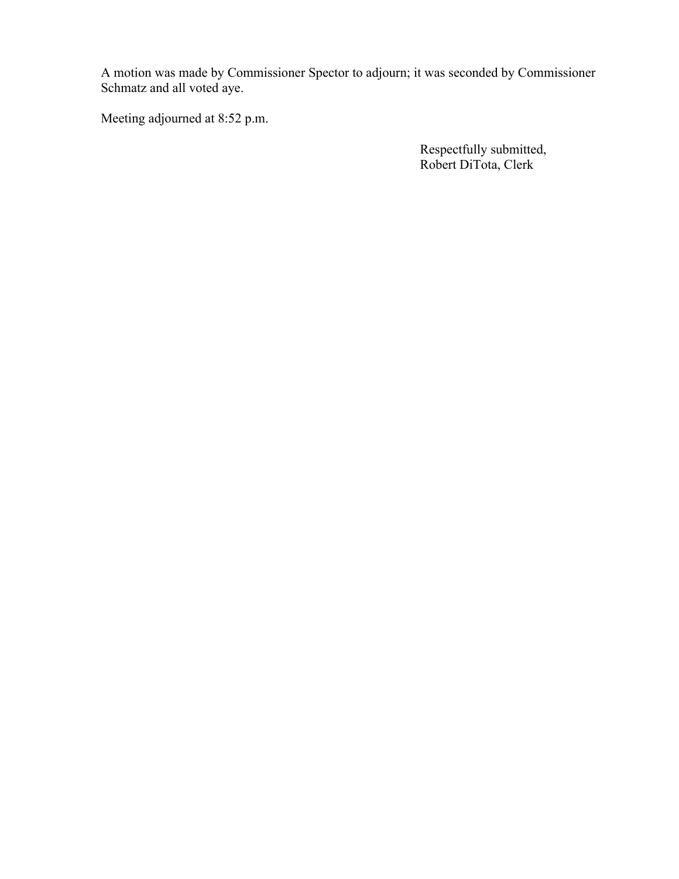A motion was made by Commissioner Spector to adjourn; it was seconded by Commissioner Schmatz and all voted aye.

Meeting adjourned at 8:52 p.m.

 Respectfully submitted, Robert DiTota, Clerk